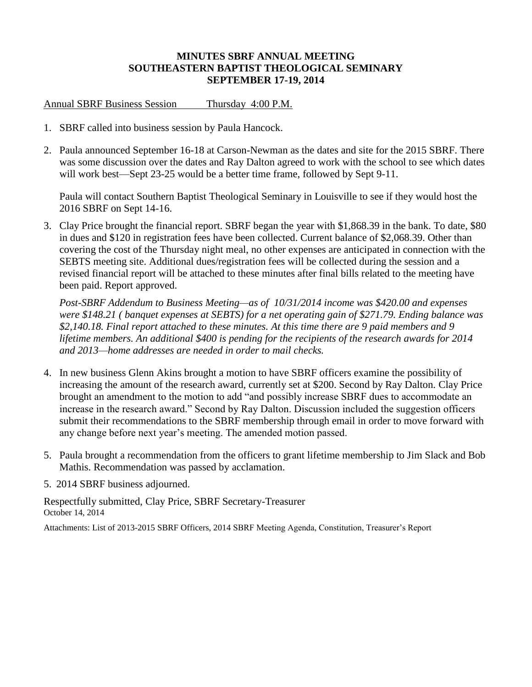## **MINUTES SBRF ANNUAL MEETING SOUTHEASTERN BAPTIST THEOLOGICAL SEMINARY SEPTEMBER 17-19, 2014**

## Annual SBRF Business Session Thursday 4:00 P.M.

- 1. SBRF called into business session by Paula Hancock.
- 2. Paula announced September 16-18 at Carson-Newman as the dates and site for the 2015 SBRF. There was some discussion over the dates and Ray Dalton agreed to work with the school to see which dates will work best—Sept 23-25 would be a better time frame, followed by Sept 9-11.

Paula will contact Southern Baptist Theological Seminary in Louisville to see if they would host the 2016 SBRF on Sept 14-16.

3. Clay Price brought the financial report. SBRF began the year with \$1,868.39 in the bank. To date, \$80 in dues and \$120 in registration fees have been collected. Current balance of \$2,068.39. Other than covering the cost of the Thursday night meal, no other expenses are anticipated in connection with the SEBTS meeting site. Additional dues/registration fees will be collected during the session and a revised financial report will be attached to these minutes after final bills related to the meeting have been paid. Report approved.

*Post-SBRF Addendum to Business Meeting—as of 10/31/2014 income was \$420.00 and expenses were \$148.21 ( banquet expenses at SEBTS) for a net operating gain of \$271.79. Ending balance was \$2,140.18. Final report attached to these minutes. At this time there are 9 paid members and 9 lifetime members. An additional \$400 is pending for the recipients of the research awards for 2014 and 2013—home addresses are needed in order to mail checks.* 

- 4. In new business Glenn Akins brought a motion to have SBRF officers examine the possibility of increasing the amount of the research award, currently set at \$200. Second by Ray Dalton. Clay Price brought an amendment to the motion to add "and possibly increase SBRF dues to accommodate an increase in the research award." Second by Ray Dalton. Discussion included the suggestion officers submit their recommendations to the SBRF membership through email in order to move forward with any change before next year's meeting. The amended motion passed.
- 5. Paula brought a recommendation from the officers to grant lifetime membership to Jim Slack and Bob Mathis. Recommendation was passed by acclamation.
- 5. 2014 SBRF business adjourned.

Respectfully submitted, Clay Price, SBRF Secretary-Treasurer October 14, 2014

Attachments: List of 2013-2015 SBRF Officers, 2014 SBRF Meeting Agenda, Constitution, Treasurer's Report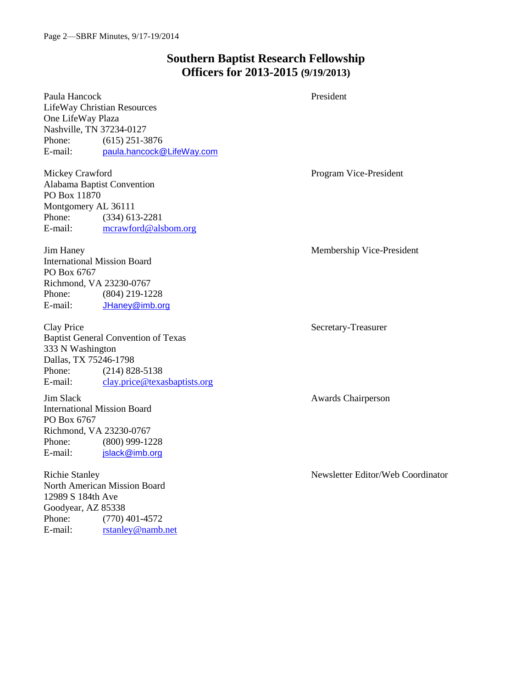# **Southern Baptist Research Fellowship Officers for 2013-2015 (9/19/2013)**

Paula Hancock President LifeWay Christian Resources One LifeWay Plaza Nashville, TN 37234-0127 Phone: (615) 251-3876 E-mail: paula.hancock@LifeWay.com Mickey Crawford **Program Vice-President** Program Vice-President Alabama Baptist Convention PO Box 11870 Montgomery AL 36111 Phone: (334) 613-2281 E-mail: [mcrawford@alsbom.org](mailto:mcrawford@alsbom.org) Jim Haney Membership Vice-President International Mission Board PO Box 6767 Richmond, VA 23230-0767 Phone: (804) 219-1228 E-mail: JHaney@imb.org Clay Price Secretary-Treasurer Baptist General Convention of Texas 333 N Washington Dallas, TX 75246-1798 Phone: (214) 828-5138 E-mail: [clay.price@texasbaptists.org](mailto:clay.price@texasbaptists.org) Jim Slack Awards Chairperson International Mission Board PO Box 6767 Richmond, VA 23230-0767 Phone: (800) 999-1228 E-mail: jslack@imb.org Richie Stanley Newsletter Editor/Web Coordinator North American Mission Board 12989 S 184th Ave Goodyear, AZ 85338 Phone: (770) 401-4572 E-mail: [rstanley@namb.net](mailto:rstanley@namb.net)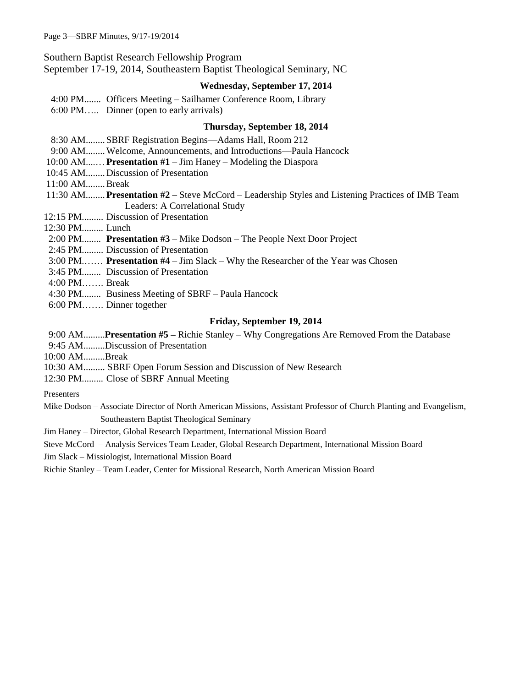Southern Baptist Research Fellowship Program

September 17-19, 2014, Southeastern Baptist Theological Seminary, NC

### **Wednesday, September 17, 2014**

4:00 PM....... Officers Meeting – Sailhamer Conference Room, Library

6:00 PM….. Dinner (open to early arrivals)

### **Thursday, September 18, 2014**

- 8:30 AM........ SBRF Registration Begins—Adams Hall, Room 212
- 9:00 AM........Welcome, Announcements, and Introductions—Paula Hancock
- 10:00 AM....…**Presentation #1** Jim Haney Modeling the Diaspora
- 10:45 AM........ Discussion of Presentation
- 11:00 AM........Break
- 11:30 AM........**Presentation #2 –** Steve McCord Leadership Styles and Listening Practices of IMB Team Leaders: A Correlational Study
- 12:15 PM......... Discussion of Presentation
- 12:30 PM......... Lunch
- 2:00 PM........ **Presentation #3** Mike Dodson The People Next Door Project
- 2:45 PM......... Discussion of Presentation
- 3:00 PM.…… **Presentation #4** Jim Slack Why the Researcher of the Year was Chosen
- 3:45 PM........ Discussion of Presentation
- 4:00 PM……. Break
- 4:30 PM........ Business Meeting of SBRF Paula Hancock
- 6:00 PM……. Dinner together

### **Friday, September 19, 2014**

9:00 AM.........**Presentation #5 –** Richie Stanley – Why Congregations Are Removed From the Database

- 9:45 AM.........Discussion of Presentation
- 10:00 AM.........Break
- 10:30 AM......... SBRF Open Forum Session and Discussion of New Research
- 12:30 PM......... Close of SBRF Annual Meeting
- Presenters
- Mike Dodson Associate Director of North American Missions, Assistant Professor of Church Planting and Evangelism, Southeastern Baptist Theological Seminary
- Jim Haney Director, Global Research Department, International Mission Board

Steve McCord – Analysis Services Team Leader, Global Research Department, International Mission Board

Jim Slack – Missiologist, International Mission Board

Richie Stanley – Team Leader, Center for Missional Research, North American Mission Board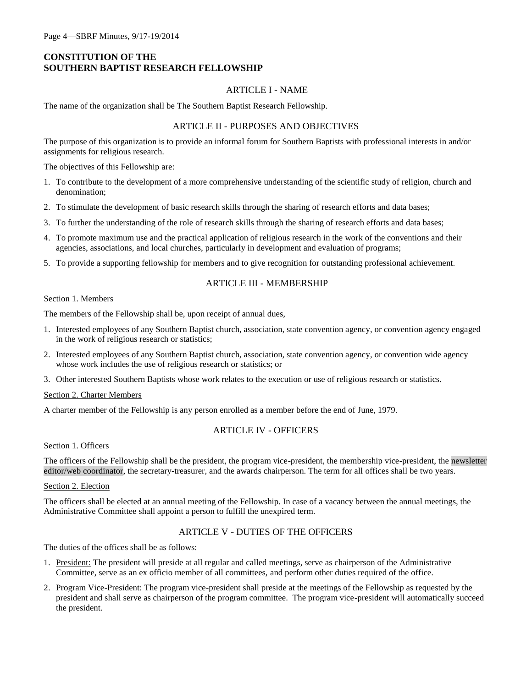### **CONSTITUTION OF THE SOUTHERN BAPTIST RESEARCH FELLOWSHIP**

#### ARTICLE I - NAME

The name of the organization shall be The Southern Baptist Research Fellowship.

### ARTICLE II - PURPOSES AND OBJECTIVES

The purpose of this organization is to provide an informal forum for Southern Baptists with professional interests in and/or assignments for religious research.

The objectives of this Fellowship are:

- 1. To contribute to the development of a more comprehensive understanding of the scientific study of religion, church and denomination;
- 2. To stimulate the development of basic research skills through the sharing of research efforts and data bases;
- 3. To further the understanding of the role of research skills through the sharing of research efforts and data bases;
- 4. To promote maximum use and the practical application of religious research in the work of the conventions and their agencies, associations, and local churches, particularly in development and evaluation of programs;
- 5. To provide a supporting fellowship for members and to give recognition for outstanding professional achievement.

#### ARTICLE III - MEMBERSHIP

#### Section 1. Members

The members of the Fellowship shall be, upon receipt of annual dues,

- 1. Interested employees of any Southern Baptist church, association, state convention agency, or convention agency engaged in the work of religious research or statistics;
- 2. Interested employees of any Southern Baptist church, association, state convention agency, or convention wide agency whose work includes the use of religious research or statistics; or
- 3. Other interested Southern Baptists whose work relates to the execution or use of religious research or statistics.

#### Section 2. Charter Members

A charter member of the Fellowship is any person enrolled as a member before the end of June, 1979.

### ARTICLE IV - OFFICERS

#### Section 1. Officers

The officers of the Fellowship shall be the president, the program vice-president, the membership vice-president, the newsletter editor/web coordinator, the secretary-treasurer, and the awards chairperson. The term for all offices shall be two years.

#### Section 2. Election

The officers shall be elected at an annual meeting of the Fellowship. In case of a vacancy between the annual meetings, the Administrative Committee shall appoint a person to fulfill the unexpired term.

### ARTICLE V - DUTIES OF THE OFFICERS

The duties of the offices shall be as follows:

- 1. President: The president will preside at all regular and called meetings, serve as chairperson of the Administrative Committee, serve as an ex officio member of all committees, and perform other duties required of the office.
- 2. Program Vice-President: The program vice-president shall preside at the meetings of the Fellowship as requested by the president and shall serve as chairperson of the program committee. The program vice-president will automatically succeed the president.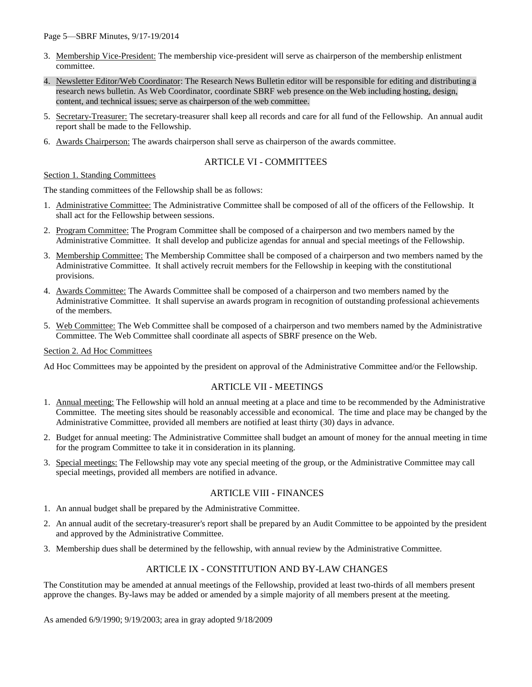- 3. Membership Vice-President: The membership vice-president will serve as chairperson of the membership enlistment committee.
- 4. Newsletter Editor/Web Coordinator: The Research News Bulletin editor will be responsible for editing and distributing a research news bulletin. As Web Coordinator, coordinate SBRF web presence on the Web including hosting, design, content, and technical issues; serve as chairperson of the web committee.
- 5. Secretary-Treasurer: The secretary-treasurer shall keep all records and care for all fund of the Fellowship. An annual audit report shall be made to the Fellowship.
- 6. Awards Chairperson: The awards chairperson shall serve as chairperson of the awards committee.

### ARTICLE VI - COMMITTEES

#### Section 1. Standing Committees

The standing committees of the Fellowship shall be as follows:

- 1. Administrative Committee: The Administrative Committee shall be composed of all of the officers of the Fellowship. It shall act for the Fellowship between sessions.
- 2. Program Committee: The Program Committee shall be composed of a chairperson and two members named by the Administrative Committee. It shall develop and publicize agendas for annual and special meetings of the Fellowship.
- 3. Membership Committee: The Membership Committee shall be composed of a chairperson and two members named by the Administrative Committee. It shall actively recruit members for the Fellowship in keeping with the constitutional provisions.
- 4. Awards Committee: The Awards Committee shall be composed of a chairperson and two members named by the Administrative Committee. It shall supervise an awards program in recognition of outstanding professional achievements of the members.
- 5. Web Committee: The Web Committee shall be composed of a chairperson and two members named by the Administrative Committee. The Web Committee shall coordinate all aspects of SBRF presence on the Web.

#### Section 2. Ad Hoc Committees

Ad Hoc Committees may be appointed by the president on approval of the Administrative Committee and/or the Fellowship.

### ARTICLE VII - MEETINGS

- 1. Annual meeting: The Fellowship will hold an annual meeting at a place and time to be recommended by the Administrative Committee. The meeting sites should be reasonably accessible and economical. The time and place may be changed by the Administrative Committee, provided all members are notified at least thirty (30) days in advance.
- 2. Budget for annual meeting: The Administrative Committee shall budget an amount of money for the annual meeting in time for the program Committee to take it in consideration in its planning.
- 3. Special meetings: The Fellowship may vote any special meeting of the group, or the Administrative Committee may call special meetings, provided all members are notified in advance.

#### ARTICLE VIII - FINANCES

- 1. An annual budget shall be prepared by the Administrative Committee.
- 2. An annual audit of the secretary-treasurer's report shall be prepared by an Audit Committee to be appointed by the president and approved by the Administrative Committee.
- 3. Membership dues shall be determined by the fellowship, with annual review by the Administrative Committee.

#### ARTICLE IX - CONSTITUTION AND BY-LAW CHANGES

The Constitution may be amended at annual meetings of the Fellowship, provided at least two-thirds of all members present approve the changes. By-laws may be added or amended by a simple majority of all members present at the meeting.

As amended 6/9/1990; 9/19/2003; area in gray adopted 9/18/2009